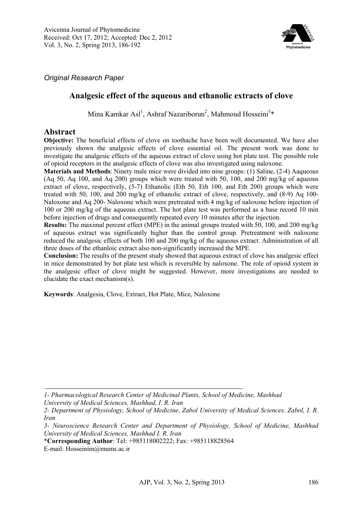

*Original Research Paper* 

# **Analgesic effect of the aqueous and ethanolic extracts of clove**

Mina Kamkar Asl<sup>1</sup>, Ashraf Nazariborun<sup>2</sup>, Mahmoud Hosseini<sup>3</sup>\*

## **Abstract**

**Objective:** The beneficial effects of clove on toothache have been well documented. We have also previously shown the analgesic effects of clove essential oil. The present work was done to investigate the analgesic effects of the aqueous extract of clove using hot plate test. The possible role of opioid receptors in the analgesic effects of clove was also investigated using naloxone.

**Materials and Methods**: Ninety male mice were divided into nine groups: (1) Saline, (2-4) Aaqueous (Aq 50, Aq 100, and Aq 200) groups which were treated with 50, 100, and 200 mg/kg of aqueous extract of clove, respectively, (5-7) Ethanolic (Eth 50, Eth 100, and Eth 200) groups which were treated with 50, 100, and 200 mg/kg of ethanolic extract of clove, respectively, and (8-9) Aq 100- Naloxone and Aq 200- Naloxone which were pretreated with 4 mg/kg of naloxone before injection of 100 or 200 mg/kg of the aqueous extract. The hot plate test was performed as a base record 10 min before injection of drugs and consequently repeated every 10 minutes after the injection.

**Results:** The maximal percent effect (MPE) in the animal groups treated with 50, 100, and 200 mg/kg of aqueous extract was significantly higher than the control group. Pretreatment with naloxone reduced the analgesic effects of both 100 and 200 mg/kg of the aqueous extract. Administration of all three doses of the ethanloic extract also non-significantly increased the MPE.

**Conclusion:** The results of the present study showed that aqueous extract of clove has analgesic effect in mice demonstrated by hot plate test which is reversible by naloxone. The role of opioid system in the analgesic effect of clove might be suggested. However, more investigations are needed to elucidate the exact mechanism(s).

**Keywords**: Analgesia, Clove, Extract, Hot Plate, Mice, Naloxone

*University of Medical Sciences, Mashhad, I. R. Iran*

*<sup>1-</sup> Pharmacological Research Center of Medicinal Plants, School of Medicine, Mashhad* 

*<sup>2-</sup> Department of Physiology, School of Medicine, Zabol University of Medical Sciences, Zabol, I. R. Iran* 

*<sup>3-</sup> Neuroscience Research Center and Department of Physiology, School of Medicine, Mashhad University of Medical Sciences, Mashhad I. R. Iran* 

<sup>\*</sup>**Corresponding Author**: Tel: +985118002222; Fax: +985118828564

E-mail: Hosseinim@mums.ac.ir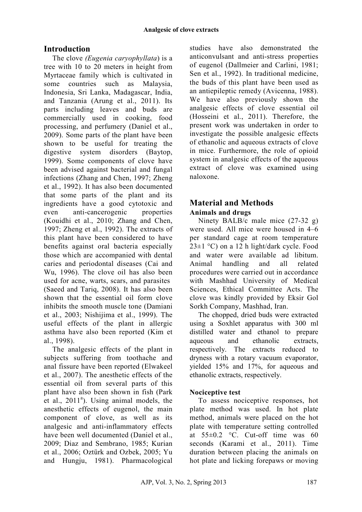# **Introduction**

 The clove *(Eugenia caryophyllata*) is a tree with 10 to 20 meters in height from Myrtaceae family which is cultivated in some countries such as Malaysia, Indonesia, Sri Lanka, Madagascar, India, and Tanzania (Arung et al., 2011). Its parts including leaves and buds are commercially used in cooking, food processing, and perfumery (Daniel et al., 2009). Some parts of the plant have been shown to be useful for treating the digestive system disorders (Baytop, 1999). Some components of clove have been advised against bacterial and fungal infections (Zhang and Chen, 1997; Zheng et al., 1992). It has also been documented that some parts of the plant and its ingredients have a good cytotoxic and even anti-cancerogenic properties (Kouidhi et al., 2010; Zhang and Chen, 1997; Zheng et al., 1992). The extracts of this plant have been considered to have benefits against oral bacteria especially those which are accompanied with dental caries and periodontal diseases (Cai and Wu, 1996). The clove oil has also been used for acne, warts, scars, and parasites (Saeed and Tariq, 2008). It has also been shown that the essential oil form clove inhibits the smooth muscle tone (Damiani et al., 2003; Nishijima et al., 1999). The useful effects of the plant in allergic asthma have also been reported (Kim et al., 1998).

 The analgesic effects of the plant in subjects suffering from toothache and anal fissure have been reported (Elwakeel et al., 2007). The anesthetic effects of the essential oil from several parts of this plant have also been shown in fish (Park et al.,  $2011<sup>a</sup>$ ). Using animal models, the anesthetic effects of eugenol, the main component of clove, as well as its analgesic and anti-inflammatory effects have been well documented (Daniel et al., 2009; Diaz and Sembrano, 1985; Kurian et al., 2006; Oztürk and Ozbek, 2005; Yu and Hungju, 1981). Pharmacological

studies have also demonstrated the anticonvulsant and anti-stress properties of eugenol (Dallmeier and Carlini, 1981; Sen et al., 1992). In traditional medicine, the buds of this plant have been used as an antiepileptic remedy (Avicenna, 1988). We have also previously shown the analgesic effects of clove essential oil (Hosseini et al., 2011). Therefore, the present work was undertaken in order to investigate the possible analgesic effects of ethanolic and aqueous extracts of clove in mice. Furthermore, the role of opioid system in analgesic effects of the aqueous extract of clove was examined using naloxone.

## **Material and Methods Animals and drugs**

 Ninety BALB/c male mice (27-32 g) were used. All mice were housed in 4–6 per standard cage at room temperature  $23\pm1$  °C) on a 12 h light/dark cycle. Food and water were available ad libitum. Animal handling and all related procedures were carried out in accordance with Mashhad University of Medical Sciences, Ethical Committee Acts. The clove was kindly provided by Eksir Gol Sorkh Company, Mashhad, Iran.

The chopped, dried buds were extracted using a Soxhlet apparatus with 300 ml distilled water and ethanol to prepare aqueous and ethanolic extracts, respectively. The extracts reduced to dryness with a rotary vacuum evaporator, yielded 15% and 17%, for aqueous and ethanolic extracts, respectively.

## **Nociceptive test**

 To assess nociceptive responses, hot plate method was used. In hot plate method, animals were placed on the hot plate with temperature setting controlled at  $55\pm0.2$  °C. Cut-off time was 60 seconds (Karami et al., 2011). Time duration between placing the animals on hot plate and licking forepaws or moving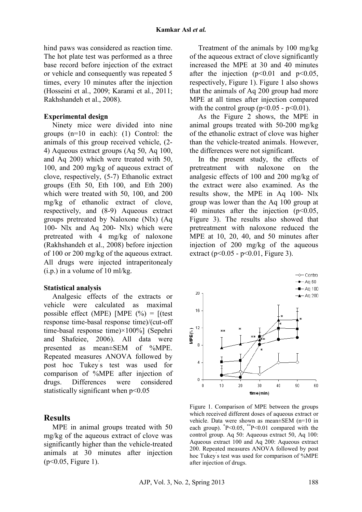hind paws was considered as reaction time. The hot plate test was performed as a three base record before injection of the extract or vehicle and consequently was repeated 5 times, every 10 minutes after the injection (Hosseini et al., 2009; Karami et al., 2011; Rakhshandeh et al., 2008).

### **Experimental design**

Ninety mice were divided into nine groups (n=10 in each): (1) Control: the animals of this group received vehicle, (2- 4) Aqueous extract groups (Aq 50, Aq 100, and Aq 200) which were treated with 50, 100, and 200 mg/kg of aqueous extract of clove, respectively, (5-7) Ethanolic extract groups (Eth 50, Eth 100, and Eth 200) which were treated with 50, 100, and 200 mg/kg of ethanolic extract of clove, respectively, and (8-9) Aqueous extract groups pretreated by Naloxone (Nlx) (Aq 100- Nlx and Aq 200- Nlx) which were pretreated with 4 mg/kg of naloxone (Rakhshandeh et al., 2008) before injection of 100 or 200 mg/kg of the aqueous extract. All drugs were injected intraperitonealy  $(i.p.)$  in a volume of 10 ml/kg.

#### **Statistical analysis**

Analgesic effects of the extracts or vehicle were calculated as maximal possible effect (MPE) [MPE  $(\% ) =$  [(test response time-basal response time)/(cut-off time-basal response time)×100%] (Sepehri and Shafeiee, 2006). All data were presented as mean±SEM of %MPE. Repeated measures ANOVA followed by post hoc Tukey' s test was used for comparison of %MPE after injection of drugs. Differences were considered statistically significant when  $p<0.05$ 

### **Results**

MPE in animal groups treated with 50 mg/kg of the aqueous extract of clove was significantly higher than the vehicle-treated animals at 30 minutes after injection (p<0.05, Figure 1).

Treatment of the animals by 100 mg/kg of the aqueous extract of clove significantly increased the MPE at 30 and 40 minutes after the injection  $(p<0.01$  and  $p<0.05$ , respectively, Figure 1). Figure 1 also shows that the animals of Aq 200 group had more MPE at all times after injection compared with the control group ( $p<0.05 - p<0.01$ ).

As the Figure 2 shows, the MPE in animal groups treated with 50-200 mg/kg of the ethanolic extract of clove was higher than the vehicle-treated animals. However, the differences were not significant.

In the present study, the effects of pretreatment with naloxone on the analgesic effects of 100 and 200 mg/kg of the extract were also examined. As the results show, the MPE in Aq 100- Nlx group was lower than the Aq 100 group at 40 minutes after the injection (p<0.05, Figure 3). The results also showed that pretreatment with naloxone reduced the MPE at 10, 20, 40, and 50 minutes after injection of 200 mg/kg of the aqueous extract ( $p < 0.05 - p < 0.01$ , Figure 3).



Figure 1. Comparison of MPE between the groups which received different doses of aqueous extract or vehicle. Data were shown as mean±SEM (n=10 in each group).  $P<0.05$ ,  $P<0.01$  compared with the control group. Aq 50: Aqueous extract 50, Aq 100: Aqueous extract 100 and Aq 200: Aqueous extract 200. Repeated measures ANOVA followed by post hoc Tukey' s test was used for comparison of %MPE after injection of drugs.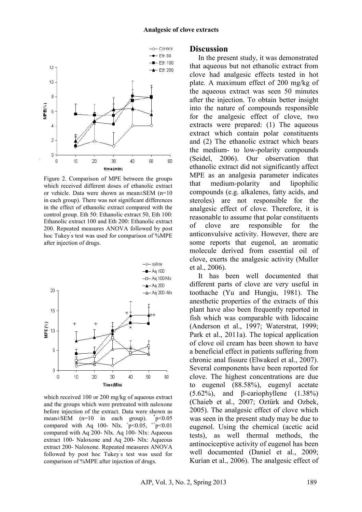

Figure 2. Comparison of MPE between the groups which received different doses of ethanolic extract or vehicle. Data were shown as mean±SEM (n=10 in each group). There was not significant differences in the effect of ethanolic extract compared with the control group. Eth 50: Ethanolic extract 50, Eth 100: Ethanolic extract 100 and Eth 200: Ethanolic extract 200. Repeated measures ANOVA followed by post hoc Tukey' s test was used for comparison of %MPE after injection of drugs.



which received 100 or 200 mg/kg of aqueous extract and the groups which were pretreated with naloxone before injection of the extract. Data were shown as mean $\pm$ SEM (n=10 in each group).  $^*p<0.05$ compared with Aq 100- Nlx.  $p<0.05$ ,  $+p<0.01$ compared with Aq 200- Nlx. Aq 100- Nlx: Aqueous extract 100- Naloxone and Aq 200- Nlx: Aqueous extract 200- Naloxone. Repeated measures ANOVA followed by post hoc Tukey' s test was used for comparison of %MPE after injection of drugs.

### **Discussion**

In the present study, it was demonstrated that aqueous but not ethanolic extract from clove had analgesic effects tested in hot plate. A maximum effect of 200 mg/kg of the aqueous extract was seen 50 minutes after the injection. To obtain better insight into the nature of compounds responsible for the analgesic effect of clove, two extracts were prepared: (1) The aqueous extract which contain polar constituents and (2) The ethanolic extract which bears the medium- to low-polarity compounds (Seidel, 2006). Our observation that ethanolic extract did not significantly affect MPE as an analgesia parameter indicates that medium-polarity and lipophilic compounds (e.g. alkalenes, fatty acids, and steroles) are not responsible for the analgesic effect of clove. Therefore, it is reasonable to assume that polar constituents of clove are responsible for the anticonvulsive activity. However, there are some reports that eugenol, an aromatic molecule derived from essential oil of clove, exerts the analgesic activity (Muller et al., 2006).

It has been well documented that different parts of clove are very useful in toothache (Yu and Hungju, 1981). The anesthetic properties of the extracts of this plant have also been frequently reported in fish which was comparable with lidocaine (Anderson et al., 1997; Waterstrat, 1999; Park et al., 2011a). The topical application of clove oil cream has been shown to have a beneficial effect in patients suffering from chronic anal fissure (Elwakeel et al., 2007). Several components have been reported for clove. The highest concentrations are due to eugenol (88.58%), eugenyl acetate (5.62%), and β-cariophyllene  $(1.38\%)$ (Chaieb et al., 2007; Oztürk and Ozbek, 2005). The analgesic effect of clove which was seen in the present study may be due to eugenol. Using the chemical (acetic acid tests), as well thermal methods, the antinociceptive activity of eugenol has been well documented (Daniel et al., 2009; Kurian et al., 2006). The analgesic effect of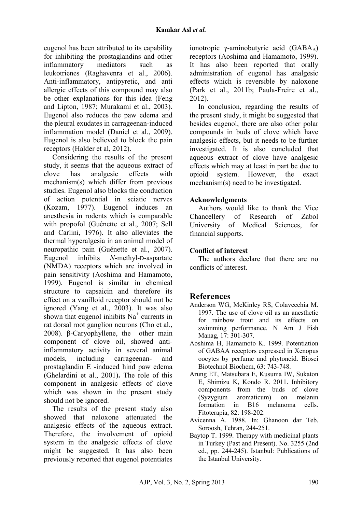eugenol has been attributed to its capability for inhibiting the prostaglandins and other inflammatory mediators such as leukotrienes (Raghavenra et al., 2006). Anti-inflammatory, antipyretic, and anti allergic effects of this compound may also be other explanations for this idea (Feng and Lipton, 1987; Murakami et al., 2003). Eugenol also reduces the paw edema and the pleural exudates in carrageenan-induced inflammation model (Daniel et al., 2009). Eugenol is also believed to block the pain receptors (Halder et al, 2012).

Considering the results of the present study, it seems that the aqueous extract of clove has analgesic effects with mechanism(s) which differ from previous studies. Eugenol also blocks the conduction of action potential in sciatic nerves (Kozam, 1977). Eugenol induces an anesthesia in rodents which is comparable with propofol (Guénette et al., 2007; Sell and Carlini, 1976). It also alleviates the thermal hyperalgesia in an animal model of neuropathic pain (Guénette et al., 2007). Eugenol inhibits *N*-methyl-D-aspartate (NMDA) receptors which are involved in pain sensitivity (Aoshima and Hamamoto, 1999). Eugenol is similar in chemical structure to capsaicin and therefore its effect on a vanilloid receptor should not be ignored (Yang et al., 2003). It was also shown that eugenol inhibits  $Na<sup>+</sup>$  currents in rat dorsal root ganglion neurons (Cho et al., 2008). β-Caryophyllene, the other main component of clove oil, showed antiinflammatory activity in several animal models, including carrageenan- and prostaglandin E -induced hind paw edema (Ghelardini et al., 2001)**.** The role of this component in analgesic effects of clove which was shown in the present study should not be ignored.

The results of the present study also showed that naloxone attenuated the analgesic effects of the aqueous extract. Therefore, the involvement of opioid system in the analgesic effects of clove might be suggested. It has also been previously reported that eugenol potentiates

ionotropic γ-aminobutyric acid  $(GABA_A)$ receptors (Aoshima and Hamamoto, 1999). It has also been reported that orally administration of eugenol has analgesic effects which is reversible by naloxone (Park et al., 2011b; Paula-Freire et al., 2012).

In conclusion, regarding the results of the present study, it might be suggested that besides eugenol, there are also other polar compounds in buds of clove which have analgesic effects, but it needs to be further investigated. It is also concluded that aqueous extract of clove have analgesic effects which may at least in part be due to opioid system. However, the exact mechanism(s) need to be investigated.

### **Acknowledgments**

Authors would like to thank the Vice Chancellery of Research of Zabol University of Medical Sciences, for financial supports.

## **Conflict of interest**

The authors declare that there are no conflicts of interest.

# **References**

- Anderson WG, McKinley RS, Colavecchia M. 1997. The use of clove oil as an anesthetic for rainbow trout and its effects on swimming performance. N Am J Fish Manag, 17: 301-307.
- Aoshima H, Hamamoto K. 1999. Potentiation of GABAA receptors expressed in Xenopus oocytes by perfume and phytoncid. Biosci Biotechnol Biochem, 63: 743-748.
- Arung ET, Matsubara E, Kusuma IW, Sukaton E, Shimizu K, Kondo R. 2011. Inhibitory components from the buds of clove (Syzygium aromaticum) on melanin formation in B16 melanoma cells. Fitoterapia, 82: 198-202.
- Avicenna A. 1988. In: Ghanoon dar Teb. Soroosh, Tehran, 244-251.
- Baytop T. 1999. Therapy with medicinal plants in Turkey (Past and Present). No. 3255 (2nd ed., pp. 244-245). Istanbul: Publications of the Istanbul University.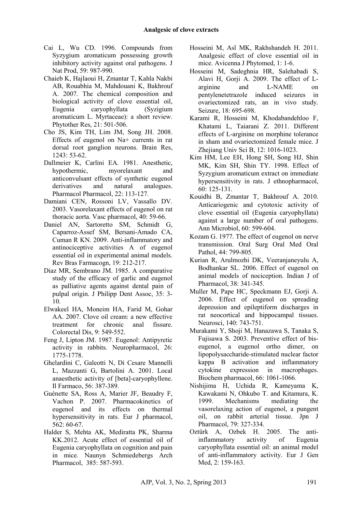- Cai L, Wu CD. 1996. Compounds from Syzygium aromaticum possessing growth inhibitory activity against oral pathogens. J Nat Prod, 59: 987-990.
- Chaieb K, Hajlaoui H, Zmantar T, Kahla Nakbi AB, Rouabhia M, Mahdouani K, Bakhrouf A. 2007. The chemical composition and biological activity of clove essential oil, Eugenia caryophyllata (Syzigium aromaticum L. Myrtaceae): a short review. Phytother Res, 21: 501-506.
- Cho JS, Kim TH, Lim JM, Song JH. 2008. Effects of eugenol on Na+ currents in rat dorsal root ganglion neurons. Brain Res, 1243: 53-62.
- Dallmeier K, Carlini EA. 1981. Anesthetic, hypothermic, myorelaxant and anticonvulsant effects of synthetic eugenol derivatives and natural analogues. Pharmacol Pharmacol, 22: 113-127*.*
- Damiani CEN, Rossoni LV, Vassallo DV. 2003. Vasorelaxant effects of eugenol on rat thoracic aorta. Vasc pharmacol, 40: 59-66.
- Daniel AN, Sartoretto SM, Schmidt G, Caparroz-Assef SM, Bersani-Amado CA, Cuman R KN. 2009. Anti-inflammatory and antinociceptive activities A of eugenol essential oil in experimental animal models. Rev Bras Farmacogn, 19: 212-217.
- Diaz MR, Sembrano JM. 1985. A comparative study of the efficacy of garlic and eugenol as palliative agents against dental pain of pulpal origin. J Philipp Dent Assoc, 35: 3- 10.
- Elwakeel HA, Moneim HA, Farid M, Gohar AA. 2007. Clove oil cream: a new effective treatment for chronic anal fissure. Colorectal Dis, 9: 549-552.
- Feng J, Lipton JM. 1987. Eugenol: Antipyretic activity in rabbits. Neuropharmacol, 26: 1775-1778.
- Ghelardini C, Galeotti N, Di Cesare Mannelli L, Mazzanti G, Bartolini A. 2001. Local anaesthetic activity of [beta]-caryophyllene. Il Farmaco, 56: 387-389.
- Guénette SA, Ross A, Marier JF, Beaudry F, Vachon P. 2007. Pharmacokinetics of eugenol and its effects on thermal hypersensitivity in rats. Eur J pharmacol, 562: 60-67.
- Halder S, Mehta AK, Mediratta PK, Sharma KK.2012. Acute effect of essential oil of Eugenia caryophyllata on cognition and pain in mice. Naunyn Schmiedebergs Arch Pharmacol, 385: 587-593.
- Hosseini M, Asl MK, Rakhshandeh H. 2011. Analgesic effect of clove essential oil in mice. Avicenna J Phytomed, 1: 1-6.
- Hosseini M, Sadeghnia HR, Salehabadi S, Alavi H, Gorji A. 2009. The effect of Larginine and L-NAME on pentylenetetrazole induced seizures in ovariectomized rats, an in vivo study. Seizure, 18: 695-698.
- Karami R, Hosseini M, Khodabandehloo F, Khatami L, Taiarani Z. 2011. Different effects of L-arginine on morphine tolerance in sham and ovariectomized female mice. J Zhejiang Univ Sci B, 12: 1016-1023.
- Kim HM, Lee EH, Hong SH, Song HJ, Shin MK, Kim SH, Shin TY. 1998. Effect of Syzygium aromaticum extract on immediate hypersensitivity in rats. J ethnopharmacol, 60: 125-131.
- Kouidhi B, Zmantar T, Bakhrouf A. 2010. Anticariogenic and cytotoxic activity of clove essential oil (Eugenia caryophyllata) against a large number of oral pathogens. Ann Microbiol, 60: 599-604.
- Kozam G. 1977. The effect of eugenol on nerve transmission. Oral Surg Oral Med Oral Pathol, 44: 799-805.
- Kurian R, Arulmozhi DK, Veeranjaneyulu A, Bodhankar SL. 2006. Effect of eugenol on animal models of nociception. Indian J of Pharmacol, 38: 341-345.
- Muller M, Pape HC, Speckmann EJ, Gorji A. 2006. Effect of eugenol on spreading depression and epileptiform discharges in rat neocortical and hippocampal tissues. Neurosci, 140: 743-751.
- Murakami Y, Shoji M, Hanazawa S, Tanaka S, Fujisawa S. 2003. Preventive effect of biseugenol, a eugenol ortho dimer, on lipopolysaccharide-stimulated nuclear factor kappa B activation and inflammatory cytokine expression in macrophages. Biochem pharmacol, 66: 1061-1066.
- Nishijima H, Uchida R, Kameyama K, Kawakami N, Ohkubo T. and Kitamura, K. 1999. Mechanisms mediating the vasorelaxing action of eugenol, a pungent oil, on rabbit arterial tissue. Jpn J Pharmacol, 79: 327-334.
- Oztürk A, Ozbek H. 2005. The antiinflammatory activity of Eugenia caryophyllata essential oil: an animal model of anti-inflammatory activity. Eur J Gen Med, 2: 159-163.